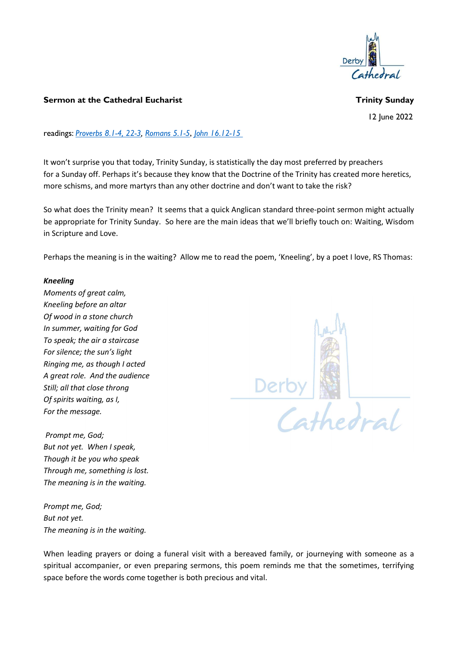

## Sermon at the Cathedral Eucharist Trinity Sunday

12 Iune 2022

readings: Proverbs 8.1-4, 22-3, Romans 5.1-5, John 16.12-15

It won't surprise you that today, Trinity Sunday, is statistically the day most preferred by preachers for a Sunday off. Perhaps it's because they know that the Doctrine of the Trinity has created more heretics, more schisms, and more martyrs than any other doctrine and don't want to take the risk?

So what does the Trinity mean? It seems that a quick Anglican standard three-point sermon might actually be appropriate for Trinity Sunday. So here are the main ideas that we'll briefly touch on: Waiting, Wisdom in Scripture and Love.

Perhaps the meaning is in the waiting? Allow me to read the poem, 'Kneeling', by a poet I love, RS Thomas:

## Kneeling

Moments of great calm, Kneeling before an altar Of wood in a stone church In summer, waiting for God To speak; the air a staircase For silence; the sun's light Ringing me, as though I acted A great role. And the audience Still; all that close throng Of spirits waiting, as I, For the message.

 Prompt me, God; But not yet. When I speak, Though it be you who speak Through me, something is lost. The meaning is in the waiting.

Prompt me, God; But not yet. The meaning is in the waiting.



When leading prayers or doing a funeral visit with a bereaved family, or journeying with someone as a spiritual accompanier, or even preparing sermons, this poem reminds me that the sometimes, terrifying space before the words come together is both precious and vital.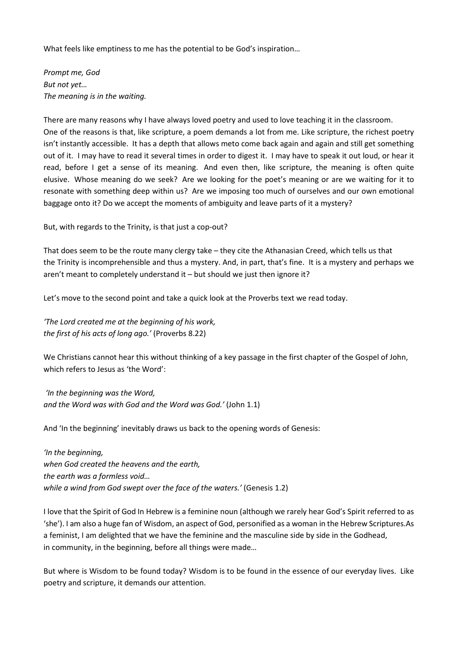What feels like emptiness to me has the potential to be God's inspiration…

Prompt me, God But not yet… The meaning is in the waiting.

There are many reasons why I have always loved poetry and used to love teaching it in the classroom. One of the reasons is that, like scripture, a poem demands a lot from me. Like scripture, the richest poetry isn't instantly accessible. It has a depth that allows meto come back again and again and still get something out of it. I may have to read it several times in order to digest it. I may have to speak it out loud, or hear it read, before I get a sense of its meaning. And even then, like scripture, the meaning is often quite elusive. Whose meaning do we seek? Are we looking for the poet's meaning or are we waiting for it to resonate with something deep within us? Are we imposing too much of ourselves and our own emotional baggage onto it? Do we accept the moments of ambiguity and leave parts of it a mystery?

But, with regards to the Trinity, is that just a cop-out?

That does seem to be the route many clergy take – they cite the Athanasian Creed, which tells us that the Trinity is incomprehensible and thus a mystery. And, in part, that's fine. It is a mystery and perhaps we aren't meant to completely understand it – but should we just then ignore it?

Let's move to the second point and take a quick look at the Proverbs text we read today.

'The Lord created me at the beginning of his work, the first of his acts of long ago.' (Proverbs 8.22)

We Christians cannot hear this without thinking of a key passage in the first chapter of the Gospel of John, which refers to Jesus as 'the Word':

 'In the beginning was the Word, and the Word was with God and the Word was God.' (John 1.1)

And 'In the beginning' inevitably draws us back to the opening words of Genesis:

'In the beginning, when God created the heavens and the earth, the earth was a formless void… while a wind from God swept over the face of the waters.' (Genesis 1.2)

I love that the Spirit of God In Hebrew is a feminine noun (although we rarely hear God's Spirit referred to as 'she'). I am also a huge fan of Wisdom, an aspect of God, personified as a woman in the Hebrew Scriptures.As a feminist, I am delighted that we have the feminine and the masculine side by side in the Godhead, in community, in the beginning, before all things were made…

But where is Wisdom to be found today? Wisdom is to be found in the essence of our everyday lives. Like poetry and scripture, it demands our attention.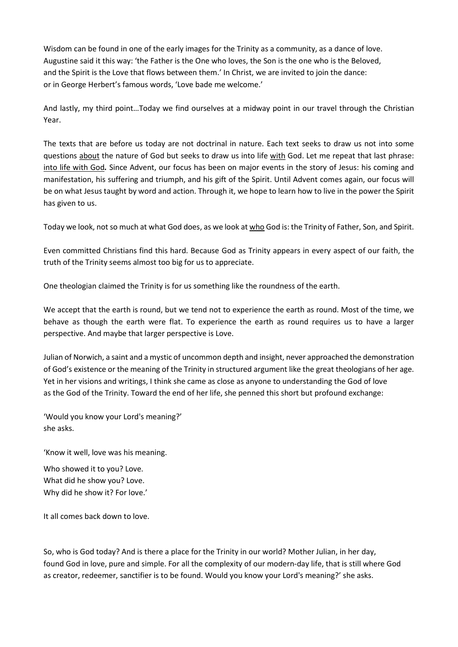Wisdom can be found in one of the early images for the Trinity as a community, as a dance of love. Augustine said it this way: 'the Father is the One who loves, the Son is the one who is the Beloved, and the Spirit is the Love that flows between them.' In Christ, we are invited to join the dance: or in George Herbert's famous words, 'Love bade me welcome.'

And lastly, my third point…Today we find ourselves at a midway point in our travel through the Christian Year.

The texts that are before us today are not doctrinal in nature. Each text seeks to draw us not into some questions about the nature of God but seeks to draw us into life with God. Let me repeat that last phrase: into life with God. Since Advent, our focus has been on major events in the story of Jesus: his coming and manifestation, his suffering and triumph, and his gift of the Spirit. Until Advent comes again, our focus will be on what Jesus taught by word and action. Through it, we hope to learn how to live in the power the Spirit has given to us.

Today we look, not so much at what God does, as we look at who God is: the Trinity of Father, Son, and Spirit.

Even committed Christians find this hard. Because God as Trinity appears in every aspect of our faith, the truth of the Trinity seems almost too big for us to appreciate.

One theologian claimed the Trinity is for us something like the roundness of the earth.

We accept that the earth is round, but we tend not to experience the earth as round. Most of the time, we behave as though the earth were flat. To experience the earth as round requires us to have a larger perspective. And maybe that larger perspective is Love.

Julian of Norwich, a saint and a mystic of uncommon depth and insight, never approached the demonstration of God's existence or the meaning of the Trinity in structured argument like the great theologians of her age. Yet in her visions and writings, I think she came as close as anyone to understanding the God of love as the God of the Trinity. Toward the end of her life, she penned this short but profound exchange:

'Would you know your Lord's meaning?' she asks.

'Know it well, love was his meaning.

Who showed it to you? Love. What did he show you? Love. Why did he show it? For love.'

It all comes back down to love.

So, who is God today? And is there a place for the Trinity in our world? Mother Julian, in her day, found God in love, pure and simple. For all the complexity of our modern-day life, that is still where God as creator, redeemer, sanctifier is to be found. Would you know your Lord's meaning?' she asks.